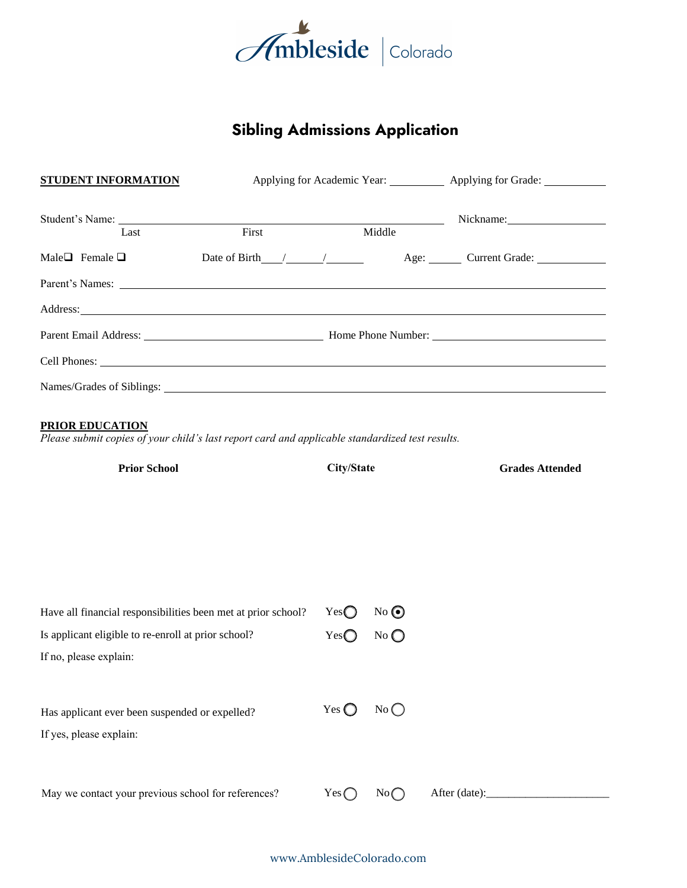

# **Sibling Admissions Application**

| <b>STUDENT INFORMATION</b>                                                                                                                                                                                                    |                 |                         |                                                                                              | Applying for Academic Year: ___________ Applying for Grade: ___________ |  |
|-------------------------------------------------------------------------------------------------------------------------------------------------------------------------------------------------------------------------------|-----------------|-------------------------|----------------------------------------------------------------------------------------------|-------------------------------------------------------------------------|--|
| Last                                                                                                                                                                                                                          | First<br>Middle |                         | $\mathcal{L}^{\text{max}}(\mathcal{L}^{\text{max}})$ . The set of $\mathcal{L}^{\text{max}}$ | Nickname: 1997                                                          |  |
| Male $\Box$ Female $\Box$                                                                                                                                                                                                     |                 |                         |                                                                                              |                                                                         |  |
|                                                                                                                                                                                                                               |                 |                         |                                                                                              |                                                                         |  |
| Address: No. 2014 Contract to the contract of the contract of the contract of the contract of the contract of the contract of the contract of the contract of the contract of the contract of the contract of the contract of |                 |                         |                                                                                              |                                                                         |  |
|                                                                                                                                                                                                                               |                 |                         |                                                                                              |                                                                         |  |
|                                                                                                                                                                                                                               |                 |                         |                                                                                              |                                                                         |  |
|                                                                                                                                                                                                                               |                 |                         |                                                                                              |                                                                         |  |
| Please submit copies of your child's last report card and applicable standardized test results.<br><b>Prior School</b>                                                                                                        |                 | City/State              |                                                                                              | <b>Grades Attended</b>                                                  |  |
| Have all financial responsibilities been met at prior school?<br>Is applicant eligible to re-enroll at prior school?<br>If no, please explain:                                                                                |                 | Yes<br>$Yes$ $\bigcirc$ | No<br>No                                                                                     |                                                                         |  |

May we contact your previous school for references?

Has applicant ever been suspended or expelled?

If yes, please explain:

Yes  $\bigcirc$  No  $\bigcirc$ 

 $Yes \bigcirc \qquad No \bigcirc$  After (date):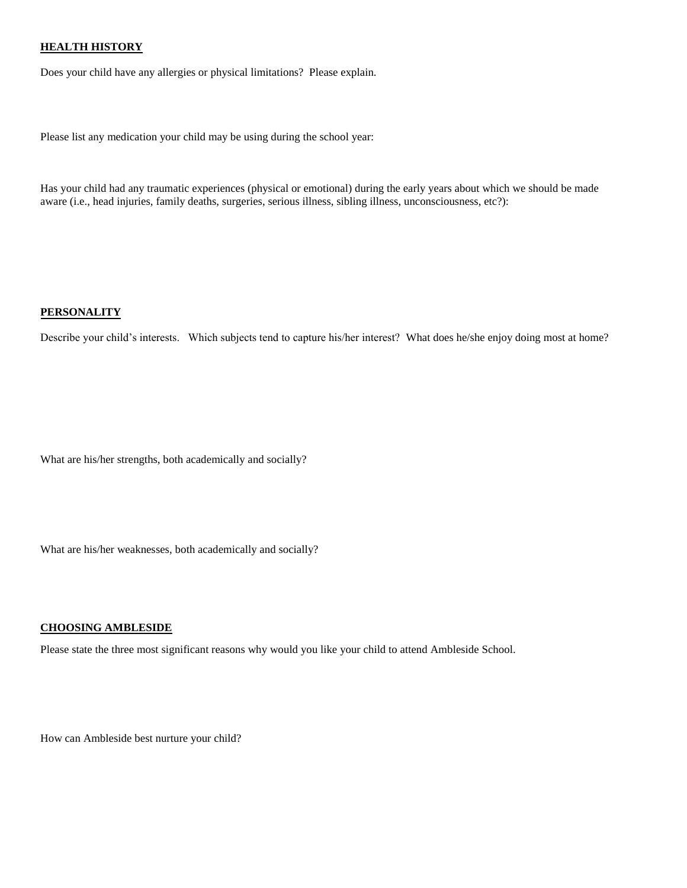### **HEALTH HISTORY**

Does your child have any allergies or physical limitations? Please explain.

Please list any medication your child may be using during the school year:

Has your child had any traumatic experiences (physical or emotional) during the early years about which we should be made aware (i.e., head injuries, family deaths, surgeries, serious illness, sibling illness, unconsciousness, etc?):

#### **PERSONALITY**

Describe your child's interests. Which subjects tend to capture his/her interest? What does he/she enjoy doing most at home?

What are his/her strengths, both academically and socially?

What are his/her weaknesses, both academically and socially?

#### **CHOOSING AMBLESIDE**

Please state the three most significant reasons why would you like your child to attend Ambleside School.

How can Ambleside best nurture your child?